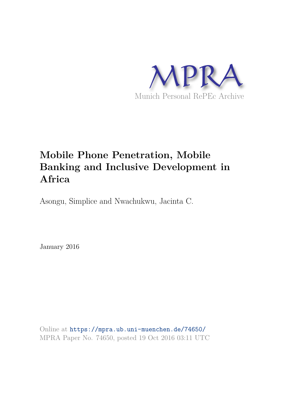

## **Mobile Phone Penetration, Mobile Banking and Inclusive Development in Africa**

Asongu, Simplice and Nwachukwu, Jacinta C.

January 2016

Online at https://mpra.ub.uni-muenchen.de/74650/ MPRA Paper No. 74650, posted 19 Oct 2016 03:11 UTC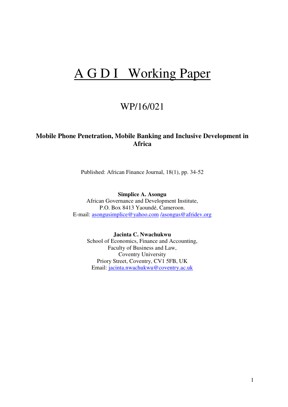# A G D I Working Paper

### WP/16/021

### **Mobile Phone Penetration, Mobile Banking and Inclusive Development in Africa**

Published: African Finance Journal, 18(1), pp. 34-52

**Simplice A. Asongu** 

African Governance and Development Institute, P.O. Box 8413 Yaoundé, Cameroon. E-mail: [asongusimplice@yahoo.com](mailto:asongusimplice@yahoo.com) [/asongus@afridev.org](mailto:/asongus@afridev.org) 

**Jacinta C. Nwachukwu**  School of Economics, Finance and Accounting, Faculty of Business and Law, Coventry University Priory Street, Coventry, CV1 5FB, UK Email: [jacinta.nwachukwu@coventry.ac.uk](mailto:jacinta.nwachukwu@coventry.ac.uk)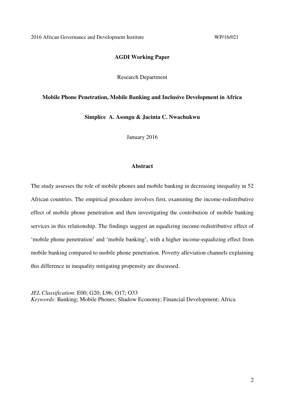2016 African Governance and Development Institute WP/16/021

#### **AGDI Working Paper**

Research Department

#### **Mobile Phone Penetration, Mobile Banking and Inclusive Development in Africa**

**Simplice A. Asongu & Jacinta C. Nwachukwu** 

January 2016

#### **Abstract**

The study assesses the role of mobile phones and mobile banking in decreasing inequality in 52 African countries. The empirical procedure involves first, examining the income-redistributive effect of mobile phone penetration and then investigating the contribution of mobile banking services in this relationship. The findings suggest an equalizing income-redistributive effect of 'mobile phone penetration' and 'mobile banking', with a higher income-equalizing effect from mobile banking compared to mobile phone penetration. Poverty alleviation channels explaining this difference in inequality mitigating propensity are discussed.

*JEL Classification*: E00; G20; L96; O17; O33 *Keywords*: Banking; Mobile Phones; Shadow Economy; Financial Development; Africa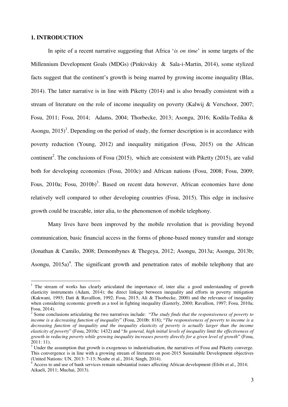#### **1. INTRODUCTION**

In spite of a recent narrative suggesting that Africa '*is on time*' in some targets of the Millennium Development Goals (MDGs) (Pinkivskiy & Sala-i-Martin, 2014), some stylized facts suggest that the continent's growth is being marred by growing income inequality (Blas, 2014). The latter narrative is in line with Piketty (2014) and is also broadly consistent with a stream of literature on the role of income inequality on poverty (Kalwij & Verschoor, 2007; Fosu, 2011; Fosu, 2014; Adams, 2004; Thorbecke, 2013; Asongu, 2016; Kodila-Tedika & Asongu,  $2015$ <sup>1</sup>. Depending on the period of study, the former description is in accordance with poverty reduction (Young, 2012) and inequality mitigation (Fosu, 2015) on the African continent<sup>2</sup>. The conclusions of Fosu (2015), which are consistent with Piketty (2015), are valid both for developing economies (Fosu, 2010c) and African nations (Fosu, 2008; Fosu, 2009; Fous, 2010a; Fosu, 2010b)<sup>3</sup>. Based on recent data however, African economies have done relatively well compared to other developing countries (Fosu, 2015). This edge in inclusive growth could be traceable, inter alia, to the phenomenon of mobile telephony.

Many lives have been improved by the mobile revolution that is providing beyond communication, basic financial access in the forms of phone-based money transfer and storage (Jonathan & Camilo, 2008; Demombynes & Thegeya, 2012; Asongu, 2013a; Asongu, 2013b; Asongu,  $2015a$ <sup>4</sup>. The significant growth and penetration rates of mobile telephony that are

<sup>&</sup>lt;sup>1</sup> The stream of works has clearly articulated the importance of, inter alia: a good understanding of growth elasticity instruments (Adam, 2014); the direct linkage between inequality and efforts in poverty mitigation (Kakwani, 1993; Datt & Ravallion, 1992; Fosu, 2015; Ali & Thorbecke, 2000) and the relevance of inequality when considering economic growth as a tool in fighting inequality (Easterly, 2000; Ravallion, 1997; Fosu, 2010a; Fosu, 2014).

<sup>2</sup> Some conclusions articulating the two narratives include: "*The study finds that the responsiveness of poverty to income is a decreasing function of inequality*" (Fosu, 2010b: 818); "*The responsiveness of poverty to income is a decreasing function of inequality and the inequality elasticity of poverty is actually larger than the income elasticity of poverty*" (Fosu, 2010c: 1432) and "*In general, high initial levels of inequality limit the effectiveness of growth in reducing poverty while growing inequality increases poverty directly for a given level of growth*" (Fosu, 2011: 11).

 $3$  Under the assumption that growth is exogenous to industrialisation, the narratives of Fosu and Piketty converge. This convergence is in line with a growing stream of literature on post-2015 Sustainable Development objectives (United Nations: UN, 2013: 7-13; Ncube et al., 2014; Singh, 2014).

<sup>4</sup> Access to and use of bank services remain substantial issues affecting African development (Efobi et al., 2014; Aikaeli, 2011; Muchai, 2013).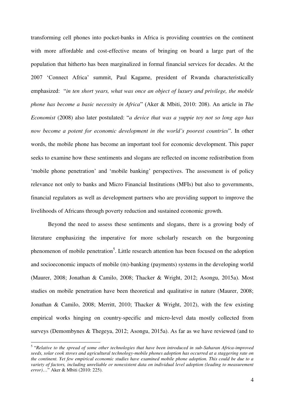transforming cell phones into pocket-banks in Africa is providing countries on the continent with more affordable and cost-effective means of bringing on board a large part of the population that hitherto has been marginalized in formal financial services for decades. At the 2007 'Connect Africa' summit, Paul Kagame, president of Rwanda characteristically emphasized: "*in ten short years, what was once an object of luxury and privilege, the mobile phone has become a basic necessity in Africa*" (Aker & Mbiti, 2010: 208). An article in *The Economist* (2008) also later postulated: "*a device that was a yuppie toy not so long ago has now become a potent for economic development in the world's poorest countries*". In other words, the mobile phone has become an important tool for economic development. This paper seeks to examine how these sentiments and slogans are reflected on income redistribution from 'mobile phone penetration' and 'mobile banking' perspectives. The assessment is of policy relevance not only to banks and Micro Financial Institutions (MFIs) but also to governments, financial regulators as well as development partners who are providing support to improve the livelihoods of Africans through poverty reduction and sustained economic growth.

 Beyond the need to assess these sentiments and slogans, there is a growing body of literature emphasizing the imperative for more scholarly research on the burgeoning phenomenon of mobile penetration<sup>5</sup>. Little research attention has been focused on the adoption and socioeconomic impacts of mobile (m)-banking (payments) systems in the developing world (Maurer, 2008; Jonathan & Camilo, 2008; Thacker & Wright, 2012; Asongu, 2015a). Most studies on mobile penetration have been theoretical and qualitative in nature (Maurer, 2008; Jonathan & Camilo, 2008; Merritt, 2010; Thacker & Wright, 2012), with the few existing empirical works hinging on country-specific and micro-level data mostly collected from surveys (Demombynes & Thegeya, 2012; Asongu, 2015a). As far as we have reviewed (and to

 5 "*Relative to the spread of some other technologies that have been introduced in sub-Saharan Africa-improved seeds, solar cook stoves and agricultural technology-mobile phones adoption has occurred at a staggering rate on the continent. Yet few empirical economic studies have examined mobile phone adoption. This could be due to a variety of factors, including unreliable or nonexistent data on individual level adoption (leading to measurement error)*…" Aker & Mbiti (2010: 225).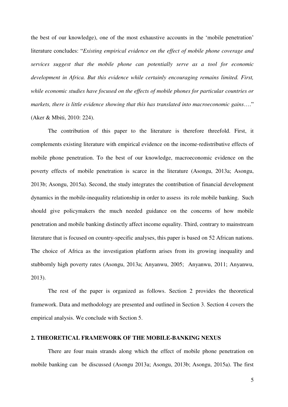the best of our knowledge), one of the most exhaustive accounts in the 'mobile penetration' literature concludes: "*Existing empirical evidence on the effect of mobile phone coverage and services suggest that the mobile phone can potentially serve as a tool for economic development in Africa. But this evidence while certainly encouraging remains limited. First, while economic studies have focused on the effects of mobile phones for particular countries or markets, there is little evidence showing that this has translated into macroeconomic gains*…." (Aker & Mbiti, 2010: 224).

The contribution of this paper to the literature is therefore threefold. First, it complements existing literature with empirical evidence on the income-redistributive effects of mobile phone penetration. To the best of our knowledge, macroeconomic evidence on the poverty effects of mobile penetration is scarce in the literature (Asongu, 2013a; Asongu, 2013b; Asongu, 2015a). Second, the study integrates the contribution of financial development dynamics in the mobile-inequality relationship in order to assess its role mobile banking. Such should give policymakers the much needed guidance on the concerns of how mobile penetration and mobile banking distinctly affect income equality. Third, contrary to mainstream literature that is focused on country-specific analyses, this paper is based on 52 African nations. The choice of Africa as the investigation platform arises from its growing inequality and stubbornly high poverty rates (Asongu, 2013a; Anyanwu, 2005; Anyanwu, 2011; Anyanwu, 2013).

The rest of the paper is organized as follows. Section 2 provides the theoretical framework. Data and methodology are presented and outlined in Section 3. Section 4 covers the empirical analysis. We conclude with Section 5.

#### **2. THEORETICAL FRAMEWORK OF THE MOBILE-BANKING NEXUS**

There are four main strands along which the effect of mobile phone penetration on mobile banking can be discussed (Asongu 2013a; Asongu, 2013b; Asongu, 2015a). The first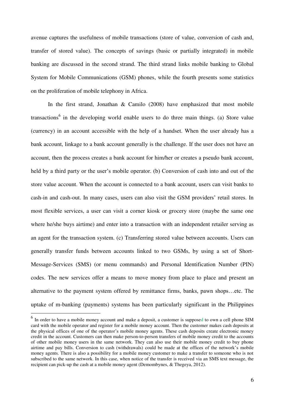avenue captures the usefulness of mobile transactions (store of value, conversion of cash and, transfer of stored value). The concepts of savings (basic or partially integrated) in mobile banking are discussed in the second strand. The third strand links mobile banking to Global System for Mobile Communications (GSM) phones, while the fourth presents some statistics on the proliferation of mobile telephony in Africa.

In the first strand, Jonathan  $\&$  Camilo (2008) have emphasized that most mobile transactions<sup>6</sup> in the developing world enable users to do three main things. (a) Store value (currency) in an account accessible with the help of a handset. When the user already has a bank account, linkage to a bank account generally is the challenge. If the user does not have an account, then the process creates a bank account for him/her or creates a pseudo bank account, held by a third party or the user's mobile operator. (b) Conversion of cash into and out of the store value account. When the account is connected to a bank account, users can visit banks to cash-in and cash-out. In many cases, users can also visit the GSM providers' retail stores. In most flexible services, a user can visit a corner kiosk or grocery store (maybe the same one where he/she buys airtime) and enter into a transaction with an independent retailer serving as an agent for the transaction system. (c) Transferring stored value between accounts. Users can generally transfer funds between accounts linked to two GSMs, by using a set of Short-Message-Services (SMS) (or menu commands) and Personal Identification Number (PIN) codes. The new services offer a means to move money from place to place and present an alternative to the payment system offered by remittance firms, banks, pawn shops…etc. The uptake of m-banking (payments) systems has been particularly significant in the Philippines

<sup>&</sup>lt;sup>6</sup> In order to have a mobile money account and make a deposit, a customer is supposed to own a cell phone SIM card with the mobile operator and register for a mobile money account. Then the customer makes cash deposits at the physical offices of one of the operator's mobile money agents. These cash deposits create electronic money credit in the account. Customers can then make person-to-person transfers of mobile money credit to the accounts of other mobile money users in the same network. They can also use their mobile money credit to buy phone airtime and pay bills. Conversion to cash (withdrawals) could be made at the offices of the network's mobile money agents. There is also a possibility for a mobile money customer to make a transfer to someone who is not subscribed to the same network. In this case, when notice of the transfer is received via an SMS text message, the recipient can pick-up the cash at a mobile money agent (Demombynes, & Thegeya, 2012).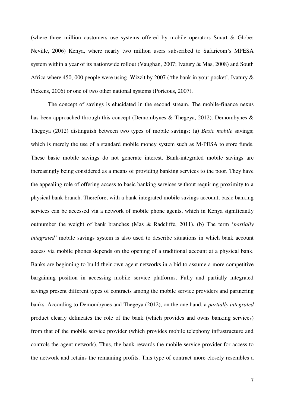(where three million customers use systems offered by mobile operators Smart & Globe; Neville, 2006) Kenya, where nearly two million users subscribed to Safaricom's MPESA system within a year of its nationwide rollout (Vaughan, 2007; Ivatury & Mas, 2008) and South Africa where 450, 000 people were using Wizzit by 2007 ('the bank in your pocket', Ivatury & Pickens, 2006) or one of two other national systems (Porteous, 2007).

 The concept of savings is elucidated in the second stream. The mobile-finance nexus has been approached through this concept (Demombynes & Thegeya, 2012). Demombynes & Thegeya (2012) distinguish between two types of mobile savings: (a) *Basic mobile* savings; which is merely the use of a standard mobile money system such as M-PESA to store funds. These basic mobile savings do not generate interest. Bank-integrated mobile savings are increasingly being considered as a means of providing banking services to the poor. They have the appealing role of offering access to basic banking services without requiring proximity to a physical bank branch. Therefore, with a bank-integrated mobile savings account, basic banking services can be accessed via a network of mobile phone agents, which in Kenya significantly outnumber the weight of bank branches (Mas & Radcliffe, 2011). (b) The term '*partially integrated'* mobile savings system is also used to describe situations in which bank account access via mobile phones depends on the opening of a traditional account at a physical bank. Banks are beginning to build their own agent networks in a bid to assume a more competitive bargaining position in accessing mobile service platforms. Fully and partially integrated savings present different types of contracts among the mobile service providers and partnering banks. According to Demombynes and Thegeya (2012), on the one hand, a *partially integrated* product clearly delineates the role of the bank (which provides and owns banking services) from that of the mobile service provider (which provides mobile telephony infrastructure and controls the agent network). Thus, the bank rewards the mobile service provider for access to the network and retains the remaining profits. This type of contract more closely resembles a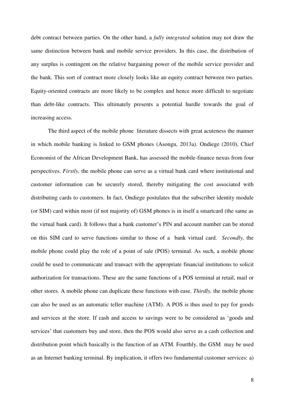debt contract between parties. On the other hand, a *fully integrated* solution may not draw the same distinction between bank and mobile service providers. In this case, the distribution of any surplus is contingent on the relative bargaining power of the mobile service provider and the bank. This sort of contract more closely looks like an equity contract between two parties. Equity-oriented contracts are more likely to be complex and hence more difficult to negotiate than debt-like contracts. This ultimately presents a potential hurdle towards the goal of increasing access.

 The third aspect of the mobile phone literature dissects with great acuteness the manner in which mobile banking is linked to GSM phones (Asongu, 2013a). Ondiege (2010), Chief Economist of the African Development Bank, has assessed the mobile-finance nexus from four perspectives. *Firstly,* the mobile phone can serve as a virtual bank card where institutional and customer information can be securely stored, thereby mitigating the cost associated with distributing cards to customers. In fact, Ondiege postulates that the subscriber identity module (or SIM) card within most (if not majority of) GSM phones is in itself a smartcard (the same as the virtual bank card). It follows that a bank customer's PIN and account number can be stored on this SIM card to serve functions similar to those of a bank virtual card. *Secondly,* the mobile phone could play the role of a point of sale (POS) terminal. As such, a mobile phone could be used to communicate and transact with the appropriate financial institutions to solicit authorization for transactions. These are the same functions of a POS terminal at retail, mail or other stores. A mobile phone can duplicate these functions with ease. *Thirdly,* the mobile phone can also be used as an automatic teller machine (ATM). A POS is thus used to pay for goods and services at the store. If cash and access to savings were to be considered as 'goods and services' that customers buy and store, then the POS would also serve as a cash collection and distribution point which basically is the function of an ATM. Fourthly, the GSM may be used as an Internet banking terminal. By implication, it offers two fundamental customer services: a)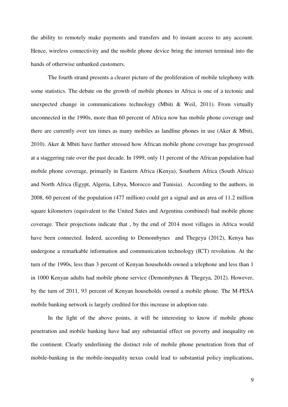the ability to remotely make payments and transfers and b) instant access to any account. Hence, wireless connectivity and the mobile phone device bring the internet terminal into the hands of otherwise unbanked customers.

 The fourth strand presents a clearer picture of the proliferation of mobile telephony with some statistics. The debate on the growth of mobile phones in Africa is one of a tectonic and unexpected change in communications technology (Mbiti & Weil, 2011). From virtually unconnected in the 1990s, more than 60 percent of Africa now has mobile phone coverage and there are currently over ten times as many mobiles as landline phones in use (Aker & Mbiti, 2010). Aker & Mbiti have further stressed how African mobile phone coverage has progressed at a staggering rate over the past decade. In 1999, only 11 percent of the African population had mobile phone coverage, primarily in Eastern Africa (Kenya), Southern Africa (South Africa) and North Africa (Egypt, Algeria, Libya, Morocco and Tunisia). According to the authors, in 2008, 60 percent of the population (477 million) could get a signal and an area of 11.2 million square kilometers (equivalent to the United Sates and Argentina combined) had mobile phone coverage. Their projections indicate that , by the end of 2014 most villages in Africa would have been connected. Indeed, according to Demombynes and Thegeya (2012), Kenya has undergone a remarkable information and communication technology (ICT) revolution. At the turn of the 1990s, less than 3 percent of Kenyan households owned a telephone and less than 1 in 1000 Kenyan adults had mobile phone service (Demombynes & Thegeya, 2012). However, by the turn of 2011, 93 percent of Kenyan households owned a mobile phone. The M-PESA mobile banking network is largely credited for this increase in adoption rate.

In the light of the above points, it will be interesting to know if mobile phone penetration and mobile banking have had any substantial effect on poverty and inequality on the continent. Clearly underlining the distinct role of mobile phone penetration from that of mobile-banking in the mobile-inequality nexus could lead to substantial policy implications,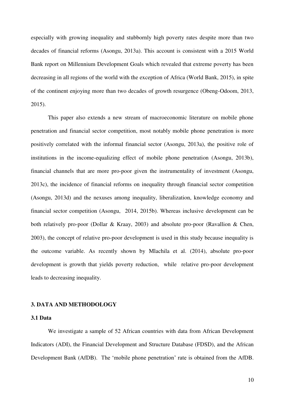especially with growing inequality and stubbornly high poverty rates despite more than two decades of financial reforms (Asongu, 2013a). This account is consistent with a 2015 World Bank report on Millennium Development Goals which revealed that extreme poverty has been decreasing in all regions of the world with the exception of Africa (World Bank, 2015), in spite of the continent enjoying more than two decades of growth resurgence (Obeng-Odoom, 2013, 2015).

This paper also extends a new stream of macroeconomic literature on mobile phone penetration and financial sector competition, most notably mobile phone penetration is more positively correlated with the informal financial sector (Asongu, 2013a), the positive role of institutions in the income-equalizing effect of mobile phone penetration (Asongu, 2013b), financial channels that are more pro-poor given the instrumentality of investment (Asongu, 2013c), the incidence of financial reforms on inequality through financial sector competition (Asongu, 2013d) and the nexuses among inequality, liberalization, knowledge economy and financial sector competition (Asongu, 2014, 2015b). Whereas inclusive development can be both relatively pro-poor (Dollar & Kraay, 2003) and absolute pro-poor (Ravallion & Chen, 2003), the concept of relative pro-poor development is used in this study because inequality is the outcome variable. As recently shown by Mlachila et al. (2014), absolute pro-poor development is growth that yields poverty reduction, while relative pro-poor development leads to decreasing inequality.

#### **3. DATA AND METHODOLOGY**

#### **3.1 Data**

We investigate a sample of 52 African countries with data from African Development Indicators (ADI), the Financial Development and Structure Database (FDSD), and the African Development Bank (AfDB). The 'mobile phone penetration' rate is obtained from the AfDB.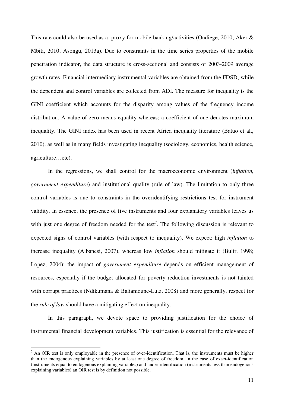This rate could also be used as a proxy for mobile banking/activities (Ondiege, 2010; Aker & Mbiti, 2010; Asongu, 2013a). Due to constraints in the time series properties of the mobile penetration indicator, the data structure is cross-sectional and consists of 2003-2009 average growth rates. Financial intermediary instrumental variables are obtained from the FDSD, while the dependent and control variables are collected from ADI. The measure for inequality is the GINI coefficient which accounts for the disparity among values of the frequency income distribution. A value of zero means equality whereas; a coefficient of one denotes maximum inequality. The GINI index has been used in recent Africa inequality literature (Batuo et al., 2010), as well as in many fields investigating inequality (sociology, economics, health science, agriculture…etc).

In the regressions, we shall control for the macroeconomic environment (*inflation, government expenditure*) and institutional quality (rule of law). The limitation to only three control variables is due to constraints in the overidentifying restrictions test for instrument validity. In essence, the presence of five instruments and four explanatory variables leaves us with just one degree of freedom needed for the test<sup>7</sup>. The following discussion is relevant to expected signs of control variables (with respect to inequality). We expect: high *inflation* to increase inequality (Albanesi, 2007), whereas low *inflation* should mitigate it (Bulir, 1998; Lopez, 2004); the impact of *government expenditure* depends on efficient management of resources, especially if the budget allocated for poverty reduction investments is not tainted with corrupt practices (Ndikumana & Baliamoune-Lutz, 2008) and more generally, respect for the *rule of law* should have a mitigating effect on inequality.

In this paragraph, we devote space to providing justification for the choice of instrumental financial development variables. This justification is essential for the relevance of

 $\overline{a}$ 

 $<sup>7</sup>$  An OIR test is only employable in the presence of over-identification. That is, the instruments must be higher</sup> than the endogenous explaining variables by at least one degree of freedom. In the case of exact-identification (instruments equal to endogenous explaining variables) and under-identification (instruments less than endogenous explaining variables) an OIR test is by definition not possible.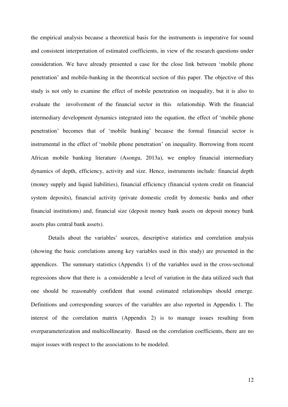the empirical analysis because a theoretical basis for the instruments is imperative for sound and consistent interpretation of estimated coefficients, in view of the research questions under consideration. We have already presented a case for the close link between 'mobile phone penetration' and mobile-banking in the theoretical section of this paper. The objective of this study is not only to examine the effect of mobile penetration on inequality, but it is also to evaluate the involvement of the financial sector in this relationship. With the financial intermediary development dynamics integrated into the equation, the effect of 'mobile phone penetration' becomes that of 'mobile banking' because the formal financial sector is instrumental in the effect of 'mobile phone penetration' on inequality. Borrowing from recent African mobile banking literature (Asongu, 2013a), we employ financial intermediary dynamics of depth, efficiency, activity and size. Hence, instruments include: financial depth (money supply and liquid liabilities), financial efficiency (financial system credit on financial system deposits), financial activity (private domestic credit by domestic banks and other financial institutions) and, financial size (deposit money bank assets on deposit money bank assets plus central bank assets).

Details about the variables' sources, descriptive statistics and correlation analysis (showing the basic correlations among key variables used in this study) are presented in the appendices. The summary statistics (Appendix 1) of the variables used in the cross-sectional regressions show that there is a considerable a level of variation in the data utilized such that one should be reasonably confident that sound estimated relationships should emerge. Definitions and corresponding sources of the variables are also reported in Appendix 1. The interest of the correlation matrix (Appendix 2) is to manage issues resulting from overparameterization and multicollinearity. Based on the correlation coefficients, there are no major issues with respect to the associations to be modeled.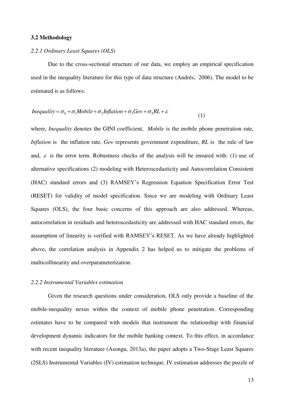#### **3.2 Methodology**

#### *2.2.1 Ordinary Least Squares (OLS)*

Due to the cross-sectional structure of our data, we employ an empirical specification used in the inequality literature for this type of data structure (Andrés, 2006). The model to be estimated is as follows:

$$
Inequality = \sigma_0 + \sigma_1 Mobile + \sigma_2 Inflation + \sigma_3 Gov + \sigma_4 RL + \varepsilon
$$
\n(1)

where, *Inequality* denotes the GINI coefficient, *Mobile* is the mobile phone penetration rate, *Inflation* is the inflation rate, *Gov* represents government expenditure, *RL* is the rule of law and,  $\varepsilon$  is the error term. Robustness checks of the analysis will be ensured with: (1) use of alternative specifications (2) modeling with Heteroscedasticity and Autocorrelation Consistent (HAC) standard errors and (3) RAMSEY's Regression Equation Specification Error Test (RESET) for validity of model specification. Since we are modeling with Ordinary Least Squares (OLS), the four basic concerns of this approach are also addressed. Whereas, autocorrelation in residuals and heteroscedasticity are addressed with HAC standard errors, the assumption of linearity is verified with RAMSEY's RESET. As we have already highlighted above, the correlation analysis in Appendix 2 has helped us to mitigate the problems of multicollinearity and overparameterization.

#### *2.2.2 Instrumental Variables estimation*

Given the research questions under consideration, OLS only provide a baseline of the mobile-inequality nexus within the context of mobile phone penetration. Corresponding estimates have to be compared with models that instrument the relationship with financial development dynamic indicators for the mobile banking context. To this effect, in accordance with recent inequality literature (Asongu, 2013a), the paper adopts a Two-Stage Least Squares (2SLS) Instrumental Variables (IV) estimation technique. IV estimation addresses the puzzle of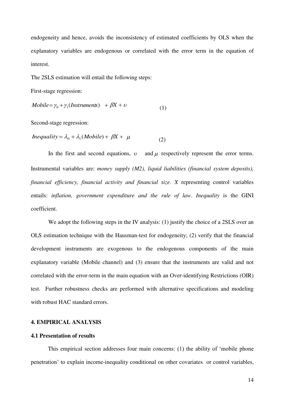endogeneity and hence, avoids the inconsistency of estimated coefficients by OLS when the explanatory variables are endogenous or correlated with the error term in the equation of interest.

The 2SLS estimation will entail the following steps:

First-stage regression:

$$
Mobile = \gamma_0 + \gamma_1(Instruments) + \beta X + \nu \tag{1}
$$

 $\overline{a}$ Second-stage regression:

$$
Inequality = \lambda_0 + \lambda_1 (Mobile) + \beta X + \mu \tag{2}
$$

In the first and second equations,  $\nu$  and  $\mu$  respectively represent the error terms. Instrumental variables are: *money supply (M2), liquid liabilities (financial system deposits), financial efficiency, financial activity and financial size*. *X* representing control variables entails: *inflation, government expenditure and the rule of law*. *Inequality* is the GINI coefficient.

We adopt the following steps in the IV analysis: (1) justify the choice of a 2SLS over an OLS estimation technique with the Hausman-test for endogeneity; (2) verify that the financial development instruments are exogenous to the endogenous components of the main explanatory variable (Mobile channel) and (3) ensure that the instruments are valid and not correlated with the error-term in the main equation with an Over-identifying Restrictions (OIR) test. Further robustness checks are performed with alternative specifications and modeling with robust HAC standard errors.

#### **4. EMPIRICAL ANALYSIS**

#### **4.1 Presentation of results**

This empirical section addresses four main concerns: (1) the ability of 'mobile phone penetration' to explain income-inequality conditional on other covariates or control variables,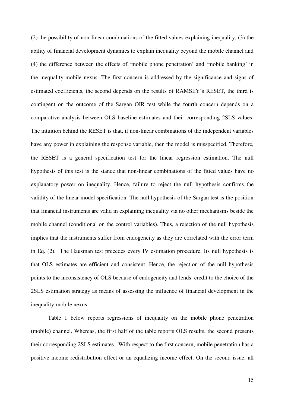(2) the possibility of non-linear combinations of the fitted values explaining inequality, (3) the ability of financial development dynamics to explain inequality beyond the mobile channel and (4) the difference between the effects of 'mobile phone penetration' and 'mobile banking' in the inequality-mobile nexus. The first concern is addressed by the significance and signs of estimated coefficients, the second depends on the results of RAMSEY's RESET, the third is contingent on the outcome of the Sargan OIR test while the fourth concern depends on a comparative analysis between OLS baseline estimates and their corresponding 2SLS values. The intuition behind the RESET is that, if non-linear combinations of the independent variables have any power in explaining the response variable, then the model is misspecified. Therefore, the RESET is a general specification test for the linear regression estimation. The null hypothesis of this test is the stance that non-linear combinations of the fitted values have no explanatory power on inequality. Hence, failure to reject the null hypothesis confirms the validity of the linear model specification. The null hypothesis of the Sargan test is the position that financial instruments are valid in explaining inequality via no other mechanisms beside the mobile channel (conditional on the control variables). Thus, a rejection of the null hypothesis implies that the instruments suffer from endogeneity as they are correlated with the error term in Eq. (2). The Hausman test precedes every IV estimation procedure. Its null hypothesis is that OLS estimates are efficient and consistent. Hence, the rejection of the null hypothesis points to the inconsistency of OLS because of endogeneity and lends credit to the choice of the 2SLS estimation strategy as means of assessing the influence of financial development in the inequality-mobile nexus.

Table 1 below reports regressions of inequality on the mobile phone penetration (mobile) channel. Whereas, the first half of the table reports OLS results, the second presents their corresponding 2SLS estimates. With respect to the first concern, mobile penetration has a positive income redistribution effect or an equalizing income effect. On the second issue, all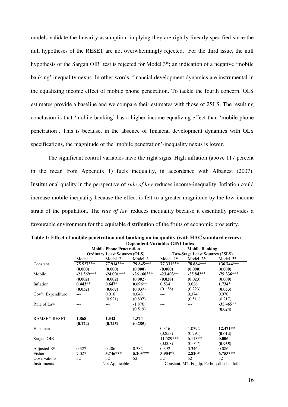models validate the linearity assumption, implying they are rightly linearly specified since the null hypotheses of the RESET are not overwhelmingly rejected. For the third issue, the null hypothesis of the Sargan OIR test is rejected for Model  $3^*$ ; an indication of a negative 'mobile banking' inequality nexus. In other words, financial development dynamics are instrumental in the equalizing income effect of mobile phone penetration. To tackle the fourth concern, OLS estimates provide a baseline and we compare their estimates with those of 2SLS. The resulting conclusion is that 'mobile banking' has a higher income equalizing effect than 'mobile phone penetration'. This is because, in the absence of financial development dynamics with OLS specifications, the magnitude of the 'mobile penetration'-inequality nexus is lower.

The significant control variables have the right signs. High inflation (above 117 percent in the mean from Appendix 1) fuels inequality, in accordance with Albanesi (2007). Institutional quality in the perspective of *rule of law* reduces income-inequality. Inflation could increase mobile inequality because the effect is felt to a greater magnitude by the low-income strata of the population. The *rule of law* reduces inequality because it essentially provides a favourable environment for the equitable distribution of the fruits of economic prosperity.

|                         | Dependent Variable: GINI Index |                                     |              |                       |                                           |              |  |  |  |
|-------------------------|--------------------------------|-------------------------------------|--------------|-----------------------|-------------------------------------------|--------------|--|--|--|
|                         |                                | <b>Mobile Phone Penetration</b>     |              | <b>Mobile Banking</b> |                                           |              |  |  |  |
|                         |                                | <b>Ordinary Least Squares (OLS)</b> |              |                       | <b>Two-Stage Least Squares (2SLS)</b>     |              |  |  |  |
|                         | Model 1                        | Model 2                             | Model 3      | Model $1*$            | Model $2*$                                | Model $3*$   |  |  |  |
| Constant                | 75.527***                      | 77.914***                           | 79.845***    | 77.331***             | 78.884***                                 | 136.744***   |  |  |  |
|                         | (0.000)                        | (0.000)                             | (0.000)      | (0.000)               | (0.000)                                   | (0.000)      |  |  |  |
| Mobile                  | $-21.569***$                   | $-24.001***$                        | $-26.160***$ | $-23.403**$           | $-25.842**$                               | $-79.336***$ |  |  |  |
|                         | (0.002)                        | (0.002)                             | (0.002)      | (0.028)               | (0.023)                                   | (0.000)      |  |  |  |
| Inflation               | $0.443**$                      | $0.647*$                            | $0.696**$    | 0.534                 | 0.626                                     | $1.734*$     |  |  |  |
|                         | (0.032)                        | (0.067)                             | (0.037)      | (0.136)               | (0.223)                                   | (0.053)      |  |  |  |
| Gov't Expenditure       |                                | 0.016                               | 0.043        | ---                   | 0.374                                     | 0.970        |  |  |  |
|                         |                                | (0.921)                             | (0.807)      |                       | (0.511)                                   | (0.217)      |  |  |  |
| Rule of Law             |                                |                                     | $-1.876$     |                       |                                           | $-35.465**$  |  |  |  |
|                         |                                |                                     | (0.519)      |                       |                                           | (0.024)      |  |  |  |
| <b>RAMSEY RESET</b>     | 1.868                          | 1.542                               | 1.374        |                       |                                           |              |  |  |  |
|                         | (0.174)                        | (0.245)                             | (0.285)      |                       |                                           |              |  |  |  |
| Hausman                 |                                | ---                                 |              | 0.316                 | 1.0392                                    | 12.471**     |  |  |  |
|                         |                                |                                     |              | (0.853)               | (0.791)                                   | (0.014)      |  |  |  |
| Sargan OIR              |                                |                                     |              | 11.589***             | $6.113**$                                 | 0.006        |  |  |  |
|                         |                                |                                     |              | (0.008)               | (0.047)                                   | (0.935)      |  |  |  |
| Adjusted $\mathbb{R}^2$ | 0.327                          | 0.406                               | 0.382        | 0.392                 | 0.346                                     | 0.086        |  |  |  |
| Fisher                  | 7.027                          | 5.746***                            | 5.205***     | $3.904**$             | $2.820*$                                  | $6.753***$   |  |  |  |
| <b>Observations</b>     | 52                             | 52                                  | 52           | 52                    | 52                                        | 52           |  |  |  |
| Instruments             |                                | Not Applicable                      |              |                       | Constant; M2; Fdgdp; Perbof; dbacba; fcfd |              |  |  |  |

**Table 1: Effect of mobile penetration and banking on inequality (with HAC standard errors)**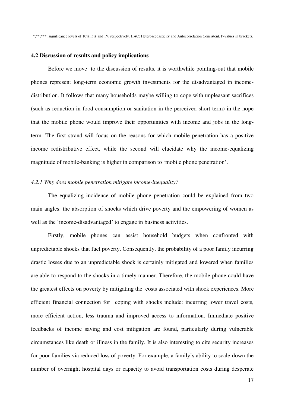#### **4.2 Discussion of results and policy implications**

Before we move to the discussion of results, it is worthwhile pointing-out that mobile phones represent long-term economic growth investments for the disadvantaged in incomedistribution. It follows that many households maybe willing to cope with unpleasant sacrifices (such as reduction in food consumption or sanitation in the perceived short-term) in the hope that the mobile phone would improve their opportunities with income and jobs in the longterm. The first strand will focus on the reasons for which mobile penetration has a positive income redistributive effect, while the second will elucidate why the income-equalizing magnitude of mobile-banking is higher in comparison to 'mobile phone penetration'.

#### *4.2.1 Why does mobile penetration mitigate income-inequality?*

 The equalizing incidence of mobile phone penetration could be explained from two main angles: the absorption of shocks which drive poverty and the empowering of women as well as the 'income-disadvantaged' to engage in business activities.

Firstly, mobile phones can assist household budgets when confronted with unpredictable shocks that fuel poverty. Consequently, the probability of a poor family incurring drastic losses due to an unpredictable shock is certainly mitigated and lowered when families are able to respond to the shocks in a timely manner. Therefore, the mobile phone could have the greatest effects on poverty by mitigating the costs associated with shock experiences. More efficient financial connection for coping with shocks include: incurring lower travel costs, more efficient action, less trauma and improved access to information. Immediate positive feedbacks of income saving and cost mitigation are found, particularly during vulnerable circumstances like death or illness in the family. It is also interesting to cite security increases for poor families via reduced loss of poverty. For example, a family's ability to scale-down the number of overnight hospital days or capacity to avoid transportation costs during desperate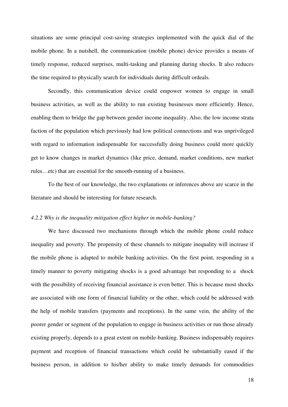situations are some principal cost-saving strategies implemented with the quick dial of the mobile phone. In a nutshell, the communication (mobile phone) device provides a means of timely response, reduced surprises, multi-tasking and planning during shocks. It also reduces the time required to physically search for individuals during difficult ordeals.

 Secondly, this communication device could empower women to engage in small business activities, as well as the ability to run existing businesses more efficiently. Hence, enabling them to bridge the gap between gender income inequality. Also, the low income strata faction of the population which previously had low political connections and was unprivileged with regard to information indispensable for successfully doing business could more quickly get to know changes in market dynamics (like price, demand, market conditions, new market rules…etc) that are essential for the smooth-running of a business.

 To the best of our knowledge, the two explanations or inferences above are scarce in the literature and should be interesting for future research.

#### *4.2.2 Why is the inequality mitigation effect higher in mobile-banking?*

 We have discussed two mechanisms through which the mobile phone could reduce inequality and poverty. The propensity of these channels to mitigate inequality will increase if the mobile phone is adapted to mobile banking activities. On the first point, responding in a timely manner to poverty mitigating shocks is a good advantage but responding to a shock with the possibility of receiving financial assistance is even better. This is because most shocks are associated with one form of financial liability or the other, which could be addressed with the help of mobile transfers (payments and receptions). In the same vein, the ability of the poorer gender or segment of the population to engage in business activities or run those already existing properly, depends to a great extent on mobile-banking. Business indispensably requires payment and reception of financial transactions which could be substantially eased if the business person, in addition to his/her ability to make timely demands for commodities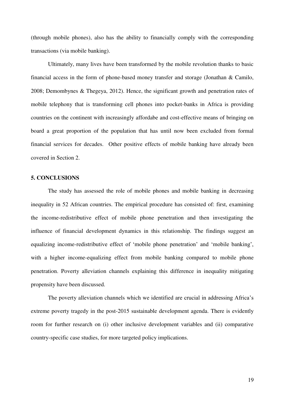(through mobile phones), also has the ability to financially comply with the corresponding transactions (via mobile banking).

 Ultimately, many lives have been transformed by the mobile revolution thanks to basic financial access in the form of phone-based money transfer and storage (Jonathan & Camilo, 2008; Demombynes & Thegeya, 2012). Hence, the significant growth and penetration rates of mobile telephony that is transforming cell phones into pocket-banks in Africa is providing countries on the continent with increasingly affordabe and cost-effective means of bringing on board a great proportion of the population that has until now been excluded from formal financial services for decades. Other positive effects of mobile banking have already been covered in Section 2.

#### **5. CONCLUSIONS**

The study has assessed the role of mobile phones and mobile banking in decreasing inequality in 52 African countries. The empirical procedure has consisted of: first, examining the income-redistributive effect of mobile phone penetration and then investigating the influence of financial development dynamics in this relationship. The findings suggest an equalizing income-redistributive effect of 'mobile phone penetration' and 'mobile banking', with a higher income-equalizing effect from mobile banking compared to mobile phone penetration. Poverty alleviation channels explaining this difference in inequality mitigating propensity have been discussed.

The poverty alleviation channels which we identified are crucial in addressing Africa's extreme poverty tragedy in the post-2015 sustainable development agenda. There is evidently room for further research on (i) other inclusive development variables and (ii) comparative country-specific case studies, for more targeted policy implications.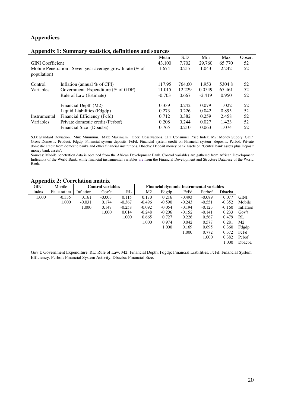#### **Appendices**

#### **Appendix 1: Summary statistics, definitions and sources**

|                         |                                                              | Mean     | S.D    | Min      | Max    | Obser. |
|-------------------------|--------------------------------------------------------------|----------|--------|----------|--------|--------|
| <b>GINI</b> Coefficient |                                                              |          | 7.702  | 29.760   | 65.770 | 52     |
| population)             | Mobile Penetration : Seven year average growth rate ( $%$ of | 1.674    | 0.217  | 1.043    | 2.242  | 52     |
| Control                 | Inflation (annual $\%$ of CPI)                               | 117.95   | 764.60 | 1.953    | 5304.8 | 52     |
| Variables               | Government Expenditure ( $%$ of GDP)                         | 11.015   | 12.229 | 0.0549   | 65.461 | 52     |
|                         | Rule of Law (Estimate)                                       | $-0.703$ | 0.667  | $-2.419$ | 0.950  | 52     |
|                         | Financial Depth (M2)                                         | 0.339    | 0.242  | 0.079    | 1.022  | 52     |
|                         | Liquid Liabilities (Fdgdp)                                   | 0.273    | 0.226  | 0.042    | 0.895  | 52     |
| Instrumental            | Financial Efficiency (Fcfd)                                  | 0.712    | 0.382  | 0.259    | 2.458  | 52     |
| Variables               | Private domestic credit (Pcrbof)                             | 0.208    | 0.244  | 0.027    | 1.423  | 52     |
|                         | Financial Size (Dbacba)                                      | 0.765    | 0.210  | 0.063    | 1.074  | 52     |

S.D: Standard Deviation. Min: Minimum. Max: Maximum. Ober: Observations. CPI: Consumer Price Index. M2: Money Supply. GDP: Gross Domestic Product. Fdgdp: Financial system deposits. FcFd: Financial system credit on Financial system deposits. Pcrbof: Private domestic credit from domestic banks and other financial institutions. Dbacba: Deposit money bank assets on 'Central bank assets plus Deposit money bank assets'.

Sources: Mobile penetration data is obtained from the African Development Bank. Control variables are gathered from African Development Indicators of the World Bank, while financial instrumental variables are from the Financial Development and Structure Database of the World Bank.

#### **Appendix 2: Correlation matrix**

| - -         |             |                          |          |          |                |                                                 |          |          |          |                |
|-------------|-------------|--------------------------|----------|----------|----------------|-------------------------------------------------|----------|----------|----------|----------------|
| <b>GINI</b> | Mobile      | <b>Control variables</b> |          |          |                | <b>Financial dynamic Instrumental variables</b> |          |          |          |                |
| Index       | Penetration | Inflation                | Gov't    | RL       | M <sub>2</sub> | Fdgdp                                           | FcFd     | Perbof   | Dbacba   |                |
| 1.000       | $-0.335$    | 0.161                    | $-0.003$ | 0.115    | 0.170          | 0.216                                           | $-0.493$ | $-0.089$ | 0.077    | <b>GINI</b>    |
|             | 1.000       | $-0.031$                 | 0.174    | $-0.367$ | $-0.496$       | $-0.590$                                        | $-0.243$ | $-0.551$ | $-0.352$ | Mobile         |
|             |             | 1.000                    | 0.147    | $-0.258$ | $-0.092$       | $-0.054$                                        | $-0.194$ | $-0.123$ | $-0.160$ | Inflation      |
|             |             |                          | 1.000    | 0.014    | $-0.248$       | $-0.206$                                        | $-0.152$ | $-0.141$ | 0.233    | Gov't          |
|             |             |                          |          | 1.000    | 0.665          | 0.727                                           | 0.226    | 0.567    | 0.479    | RL.            |
|             |             |                          |          |          | 1.000          | 0.974                                           | 0.042    | 0.577    | 0.281    | M <sub>2</sub> |
|             |             |                          |          |          |                | 1.000                                           | 0.169    | 0.695    | 0.360    | Fdgdp          |
|             |             |                          |          |          |                |                                                 | 1.000    | 0.772    | 0.372    | FcFd           |
|             |             |                          |          |          |                |                                                 |          | 1.000    | 0.382    | Pcbof          |
|             |             |                          |          |          |                |                                                 |          |          | 1.000    | Dbacba         |
|             |             |                          |          |          |                |                                                 |          |          |          |                |

Gov't: Government Expenditure. RL: Rule of Law. M2: Financial Depth. Fdgdp: Financial Liabilities. FcFd: Financial System Efficiency. Pcrbof: Financial System Activity. Dbacba: Financial Size.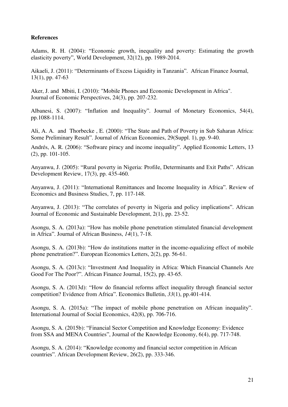#### **References**

Adams, R. H. (2004): "Economic growth, inequality and poverty: Estimating the growth elasticity poverty", World Development, 32(12), pp. 1989-2014.

Aikaeli, J. (2011): "Determinants of Excess Liquidity in Tanzania". African Finance Journal, 13(1), pp. 47-63

Aker, J. and Mbiti, I. (2010): "Mobile Phones and Economic Development in Africa". Journal of Economic Perspectives, 24(3), pp. 207-232.

Albanesi, S. (2007): "Inflation and Inequality". Journal of Monetary Economics, 54(4), pp.1088-1114.

Ali, A. A. and Thorbecke , E. (2000): "The State and Path of Poverty in Sub Saharan Africa: Some Preliminary Result". Journal of African Economies, 29(Suppl. 1), pp. 9-40.

Andrés, A. R. (2006): "Software piracy and income inequality". Applied Economic Letters, 13 (2), pp. 101-105.

Anyanwu, J. (2005): "Rural poverty in Nigeria: Profile, Determinants and Exit Paths". African Development Review, 17(3), pp. 435-460.

Anyanwu, J. (2011): "International Remittances and Income Inequality in Africa". Review of Economics and Business Studies, 7, pp. 117-148.

Anyanwu, J. (2013): "The correlates of poverty in Nigeria and policy implications". African Journal of Economic and Sustainable Development, 2(1), pp. 23-52.

Asongu, S. A. (2013a): "How has mobile phone penetration stimulated financial development in Africa". Journal of African Business, *14*(1), 7-18.

Asongu, S. A. (2013b): "How do institutions matter in the income-equalizing effect of mobile phone penetration?". European Economics Letters, 2(2), pp. 56-61.

Asongu, S. A. (2013c): "Investment And Inequality in Africa: Which Financial Channels Are Good For The Poor?". African Finance Journal, 15(2), pp. 43-65.

Asongu, S. A. (2013d): "How do financial reforms affect inequality through financial sector competition? Evidence from Africa". Economics Bulletin, *33*(1), pp.401-414.

Asongu, S. A. (2015a): "The impact of mobile phone penetration on African inequality". International Journal of Social Economics, 42(8), pp. 706-716.

Asongu, S. A. (2015b): "Financial Sector Competition and Knowledge Economy: Evidence from SSA and MENA Countries", Journal of the Knowledge Economy, 6(4), pp. 717-748.

Asongu, S. A. (2014): "Knowledge economy and financial sector competition in African countries". African Development Review, 26(2), pp. 333-346.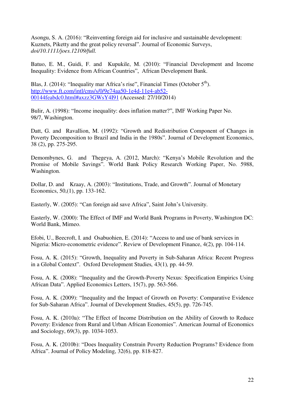Asongu, S. A. (2016): "Reinventing foreign aid for inclusive and sustainable development: Kuznets, Piketty and the great policy reversal". Journal of Economic Surveys, *doi/10.1111/joes.12109/full.* 

Batuo, E. M., Guidi, F. and Kupukile, M. (2010): "Financial Development and Income Inequality: Evidence from African Countries", African Development Bank.

Blas, J. (2014): "Inequality mar Africa's rise", Financial Times (October  $5<sup>th</sup>$ ). [http://www.ft.com/intl/cms/s/0/9e74aa50-1e4d-11e4-ab52-](http://www.ft.com/intl/cms/s/0/9e74aa50-1e4d-11e4-ab52-00144feabdc0.html#axzz3GWsY4I91) [00144feabdc0.html#axzz3GWsY4I91](http://www.ft.com/intl/cms/s/0/9e74aa50-1e4d-11e4-ab52-00144feabdc0.html#axzz3GWsY4I91) (Accessed: 27/10/2014)

Bulir, A. (1998): "Income inequality: does inflation matter?", IMF Working Paper No. 98/7, Washington.

Datt, G. and Ravallion, M. (1992): "Growth and Redistribution Component of Changes in Poverty Decomposition to Brazil and India in the 1980s". Journal of Development Economics, 38 (2), pp. 275-295.

Demombynes, G. and Thegeya, A. (2012, March): "Kenya's Mobile Revolution and the Promise of Mobile Savings". World Bank Policy Research Working Paper, No. 5988, Washington.

Dollar, D. and Kraay, A. (2003): "Institutions, Trade, and Growth". Journal of Monetary Economics, 50,(1), pp. 133-162.

Easterly, W. (2005): "Can foreign aid save Africa", Saint John's University.

Easterly, W. (2000): The Effect of IMF and World Bank Programs in Poverty, Washington DC: World Bank, Mimeo.

Efobi, U., Beecroft, I. and Osabuohien, E. (2014): "Access to and use of bank services in Nigeria: Micro-econometric evidence". Review of Development Finance, 4(2), pp. 104-114.

Fosu, A. K. (2015): "Growth, Inequality and Poverty in Sub-Saharan Africa: Recent Progress in a Global Context". Oxford Development Studies*,* 43(1)*,* pp. 44-59.

Fosu, A. K. (2008): "Inequality and the Growth-Poverty Nexus: Specification Empirics Using African Data". Applied Economics Letters, 15(7), pp. 563-566.

Fosu, A. K. (2009): "Inequality and the Impact of Growth on Poverty: Comparative Evidence for Sub-Saharan Africa". Journal of Development Studies, 45(5), pp. 726-745.

Fosu, A. K. (2010a): "The Effect of Income Distribution on the Ability of Growth to Reduce Poverty: Evidence from Rural and Urban African Economies". American Journal of Economics and Sociology, 69(3), pp. 1034-1053.

Fosu, A. K. (2010b): "Does Inequality Constrain Poverty Reduction Programs? Evidence from Africa". Journal of Policy Modeling, 32(6), pp. 818-827.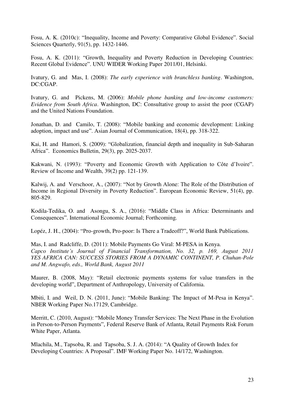Fosu, A. K. (2010c): "Inequality, Income and Poverty: Comparative Global Evidence". Social Sciences Quarterly, 91(5), pp. 1432-1446.

Fosu, A. K. (2011): "Growth, Inequality and Poverty Reduction in Developing Countries: Recent Global Evidence". UNU WIDER Working Paper 2011/01, Helsinki.

Ivatury, G. and Mas, I. (2008): *The early experience with branchless banking*. Washington, DC:CGAP.

Ivatury, G. and Pickens, M. (2006): *Mobile phone banking and low-income customers: Evidence from South Africa*. Washington, DC: Consultative group to assist the poor (CGAP) and the United Nations Foundation.

Jonathan, D. and Camilo, T. (2008): "Mobile banking and economic development: Linking adoption, impact and use". Asian Journal of Communication, 18(4), pp. 318-322.

Kai, H. and Hamori, S. (2009): "Globalization, financial depth and inequality in Sub-Saharan Africa". Economics Bulletin, 29(3), pp. 2025-2037.

Kakwani, N. (1993): "Poverty and Economic Growth with Application to Côte d'Ivoire". Review of Income and Wealth, 39(2) pp. 121-139.

Kalwij, A. and Verschoor, A., (2007): "Not by Growth Alone: The Role of the Distribution of Income in Regional Diversity in Poverty Reduction". European Economic Review, 51(4), pp. 805-829.

Kodila-Tedika, O. and Asongu, S. A., (2016): "Middle Class in Africa: Determinants and Consequences". International Economic Journal; Forthcoming*.* 

Lopéz, J. H., (2004): "Pro-growth, Pro-poor: Is There a Tradeoff?", World Bank Publications.

Mas, I. and Radcliffe, D. (2011): Mobile Payments Go Viral: M-PESA in Kenya. *Capco Institute's Journal of Financial Transformation, No. 32, p. 169, August 2011 YES AFRICA CAN: SUCCESS STORIES FROM A DYNAMIC CONTINENT, P. Chuhan-Pole and M. Angwafo, eds., World Bank, August 2011* 

Maurer, B. (2008, May): "Retail electronic payments systems for value transfers in the developing world", Department of Anthropology, University of California.

Mbiti, I. and Weil, D. N. (2011, June): "Mobile Banking: The Impact of M-Pesa in Kenya". NBER Working Paper No.17129, Cambridge.

Merritt, C. (2010, August): "Mobile Money Transfer Services: The Next Phase in the Evolution in Person-to-Person Payments", Federal Reserve Bank of Atlanta, Retail Payments Risk Forum White Paper, Atlanta.

Mlachila, M., Tapsoba, R. and Tapsoba, S. J. A. (2014): "A Quality of Growth Index for Developing Countries: A Proposal". IMF Working Paper No. 14/172, Washington.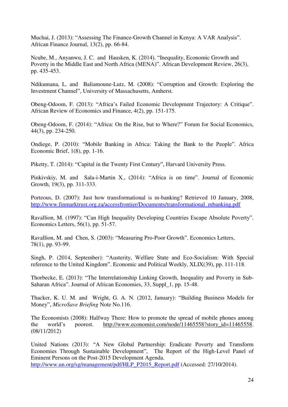Muchai, J. (2013): "Assessing The Finance-Growth Channel in Kenya: A VAR Analysis". African Finance Journal, 13(2), pp. 66-84.

Ncube, M., Anyanwu, J. C. and Hausken, K. (2014). "Inequality, Economic Growth and Poverty in the Middle East and North Africa (MENA)". African Development Review, 26(3), pp. 435-453.

Ndikumana, L. and Baliamoune-Lutz, M. (2008): "Corruption and Growth: Exploring the Investment Channel", University of Massachusetts, Amherst.

Obeng-Odoom, F. (2013): "Africa's Failed Economic Development Trajectory: A Critique". African Review of Economics and Finance, 4(2), pp. 151-175.

Obeng-Odoom, F. (2014): "Africa: On the Rise, but to Where?" Forum for Social Economics, 44(3), pp. 234-250.

Ondiege, P. (2010): "Mobile Banking in Africa: Taking the Bank to the People". Africa Economic Brief, 1(8), pp. 1-16.

Piketty, T. (2014): "Capital in the Twenty First Century", Harvard University Press.

Pinkivskiy, M. and Sala-i-Martin X., (2014): "Africa is on time". Journal of Economic Growth, 19(3), pp. 311-333.

Porteous, D. (2007): Just how transformational is m-banking? Retrieved 10 January, 2008, [http://www.finmarktrust.org.za/accessfrontier/Documents/transformational\\_mbanking.pdf](http://www.finmarktrust.org.za/accessfrontier/Documents/transformational_mbanking.pdf)

Ravallion, M. (1997): "Can High Inequality Developing Countries Escape Absolute Poverty". Economics Letters, 56(1), pp. 51-57.

Ravallion, M. and Chen, S. (2003): "Measuring Pro-Poor Growth". Economics Letters, 78(1), pp. 93-99.

Singh, P. (2014, September): "Austerity, Welfare State and Eco-Socialism: With Special reference to the United Kingdom". Economic and Political Weekly, XLIX(39), pp. 111-118.

Thorbecke, E. (2013): "The Interrelationship Linking Growth, Inequality and Poverty in Sub-Saharan Africa". Journal of African Economies, 33, Suppl\_1, pp. 15-48.

Thacker, K. U. M. and Wright, G. A. N. (2012, January): "Building Business Models for Money", *MicroSave Briefing* Note No.116.

The Economists (2008): Halfway There: How to promote the spread of mobile phones among the world's poorest. [http://www.economist.com/node/11465558?story\\_id=11465558.](http://www.economist.com/node/11465558?story_id=11465558) (08/11/2012)

United Nations (2013): "A New Global Partnership: Eradicate Poverty and Transform Economies Through Sustainable Development", The Report of the High-Level Panel of Eminent Persons on the Post-2015 Development Agenda.

[http://www.un.org/sg/management/pdf/HLP\\_P2015\\_Report.pdf](http://www.un.org/sg/management/pdf/HLP_P2015_Report.pdf) (Accessed: 27/10/2014).